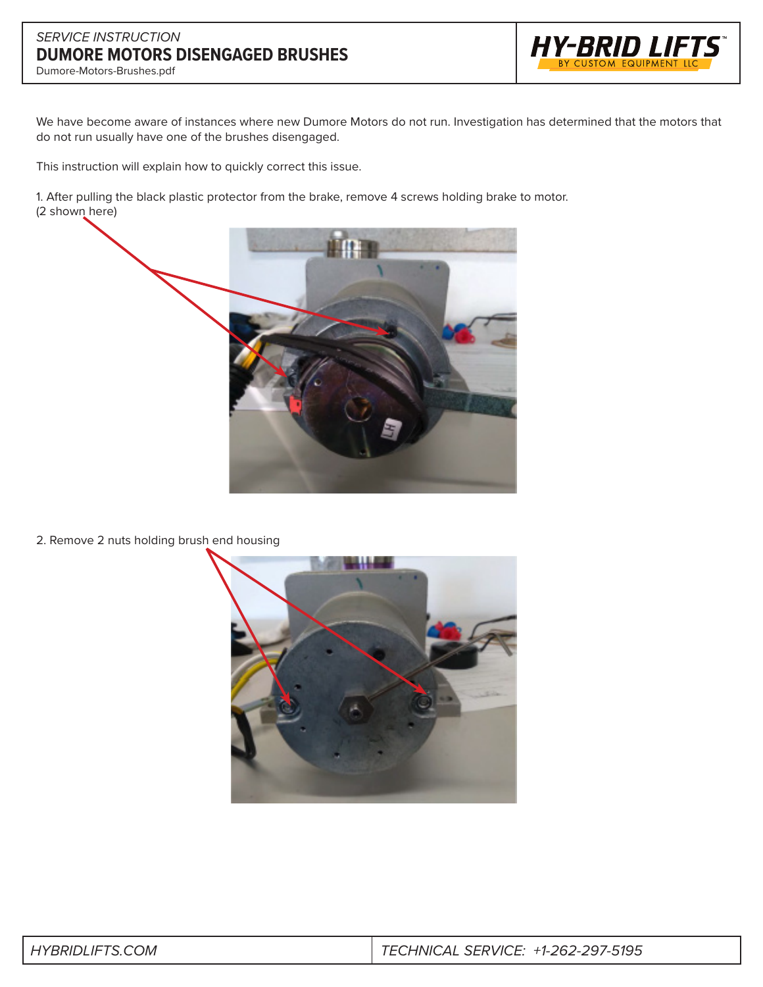## *SERVICE INSTRUCTION* **DUMORE MOTORS DISENGAGED BRUSHES**



Dumore-Motors-Brushes.pdf

We have become aware of instances where new Dumore Motors do not run. Investigation has determined that the motors that do not run usually have one of the brushes disengaged.

This instruction will explain how to quickly correct this issue.

1. After pulling the black plastic protector from the brake, remove 4 screws holding brake to motor. (2 shown here)



2. Remove 2 nuts holding brush end housing



| <b>HYBRIDLIFTS.COM</b> | $\mid$ TECHNICAL SERVICE: +1-262-297-5195 |
|------------------------|-------------------------------------------|
|                        |                                           |